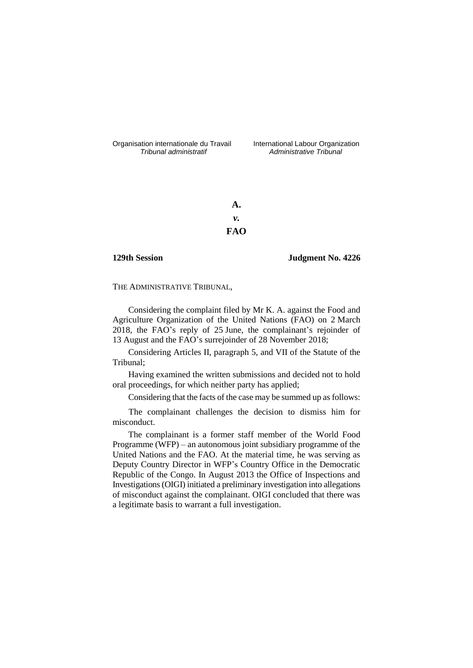Organisation internationale du Travail International Labour Organization<br>*Tribunal administratif Administrative Tribunal* 

*Tribunal administratif Administrative Tribunal*

**A.** *v.* **FAO**

**129th Session Judgment No. 4226**

THE ADMINISTRATIVE TRIBUNAL,

Considering the complaint filed by Mr K. A. against the Food and Agriculture Organization of the United Nations (FAO) on 2 March 2018, the FAO's reply of 25 June, the complainant's rejoinder of 13 August and the FAO's surrejoinder of 28 November 2018;

Considering Articles II, paragraph 5, and VII of the Statute of the Tribunal;

Having examined the written submissions and decided not to hold oral proceedings, for which neither party has applied;

Considering that the facts of the case may be summed up as follows:

The complainant challenges the decision to dismiss him for misconduct.

The complainant is a former staff member of the World Food Programme (WFP) – an autonomous joint subsidiary programme of the United Nations and the FAO. At the material time, he was serving as Deputy Country Director in WFP's Country Office in the Democratic Republic of the Congo. In August 2013 the Office of Inspections and Investigations (OIGI) initiated a preliminary investigation into allegations of misconduct against the complainant. OIGI concluded that there was a legitimate basis to warrant a full investigation.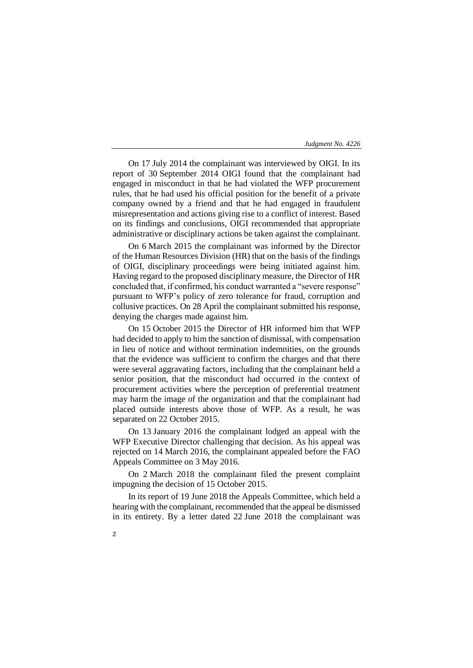On 17 July 2014 the complainant was interviewed by OIGI. In its report of 30 September 2014 OIGI found that the complainant had engaged in misconduct in that he had violated the WFP procurement rules, that he had used his official position for the benefit of a private company owned by a friend and that he had engaged in fraudulent misrepresentation and actions giving rise to a conflict of interest. Based on its findings and conclusions, OIGI recommended that appropriate administrative or disciplinary actions be taken against the complainant.

On 6 March 2015 the complainant was informed by the Director of the Human Resources Division (HR) that on the basis of the findings of OIGI, disciplinary proceedings were being initiated against him. Having regard to the proposed disciplinary measure, the Director of HR concluded that, if confirmed, his conduct warranted a "severe response" pursuant to WFP's policy of zero tolerance for fraud, corruption and collusive practices. On 28 April the complainant submitted his response, denying the charges made against him.

On 15 October 2015 the Director of HR informed him that WFP had decided to apply to him the sanction of dismissal, with compensation in lieu of notice and without termination indemnities, on the grounds that the evidence was sufficient to confirm the charges and that there were several aggravating factors, including that the complainant held a senior position, that the misconduct had occurred in the context of procurement activities where the perception of preferential treatment may harm the image of the organization and that the complainant had placed outside interests above those of WFP. As a result, he was separated on 22 October 2015.

On 13 January 2016 the complainant lodged an appeal with the WFP Executive Director challenging that decision. As his appeal was rejected on 14 March 2016, the complainant appealed before the FAO Appeals Committee on 3 May 2016.

On 2 March 2018 the complainant filed the present complaint impugning the decision of 15 October 2015.

In its report of 19 June 2018 the Appeals Committee, which held a hearing with the complainant, recommended that the appeal be dismissed in its entirety. By a letter dated 22 June 2018 the complainant was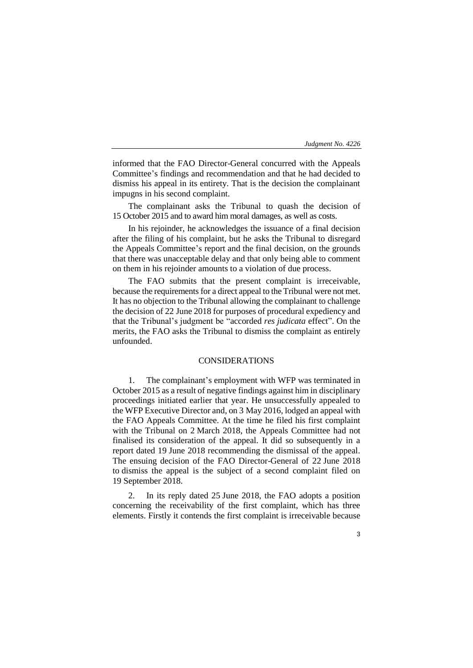informed that the FAO Director-General concurred with the Appeals Committee's findings and recommendation and that he had decided to dismiss his appeal in its entirety. That is the decision the complainant impugns in his second complaint.

The complainant asks the Tribunal to quash the decision of 15 October 2015 and to award him moral damages, as well as costs.

In his rejoinder, he acknowledges the issuance of a final decision after the filing of his complaint, but he asks the Tribunal to disregard the Appeals Committee's report and the final decision, on the grounds that there was unacceptable delay and that only being able to comment on them in his rejoinder amounts to a violation of due process.

The FAO submits that the present complaint is irreceivable, because the requirements for a direct appeal to the Tribunal were not met. It has no objection to the Tribunal allowing the complainant to challenge the decision of 22 June 2018 for purposes of procedural expediency and that the Tribunal's judgment be "accorded *res judicata* effect". On the merits, the FAO asks the Tribunal to dismiss the complaint as entirely unfounded.

## CONSIDERATIONS

1. The complainant's employment with WFP was terminated in October 2015 as a result of negative findings against him in disciplinary proceedings initiated earlier that year. He unsuccessfully appealed to the WFP Executive Director and, on 3 May 2016, lodged an appeal with the FAO Appeals Committee. At the time he filed his first complaint with the Tribunal on 2 March 2018, the Appeals Committee had not finalised its consideration of the appeal. It did so subsequently in a report dated 19 June 2018 recommending the dismissal of the appeal. The ensuing decision of the FAO Director-General of 22 June 2018 to dismiss the appeal is the subject of a second complaint filed on 19 September 2018.

2. In its reply dated 25 June 2018, the FAO adopts a position concerning the receivability of the first complaint, which has three elements. Firstly it contends the first complaint is irreceivable because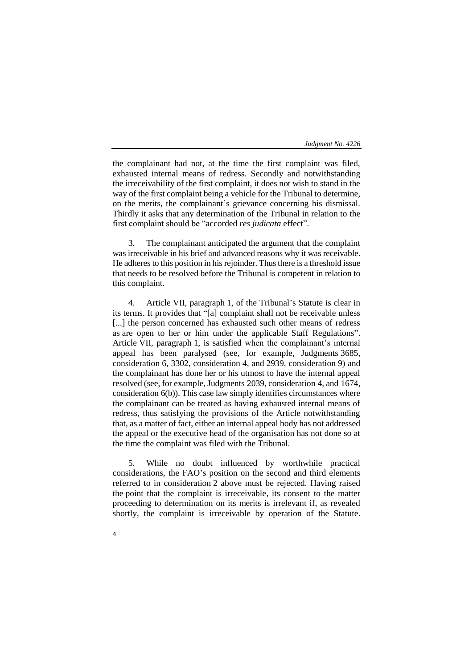the complainant had not, at the time the first complaint was filed, exhausted internal means of redress. Secondly and notwithstanding the irreceivability of the first complaint, it does not wish to stand in the way of the first complaint being a vehicle for the Tribunal to determine, on the merits, the complainant's grievance concerning his dismissal. Thirdly it asks that any determination of the Tribunal in relation to the first complaint should be "accorded *res judicata* effect".

3. The complainant anticipated the argument that the complaint was irreceivable in his brief and advanced reasons why it was receivable. He adheres to this position in his rejoinder. Thus there is a threshold issue that needs to be resolved before the Tribunal is competent in relation to this complaint.

4. Article VII, paragraph 1, of the Tribunal's Statute is clear in its terms. It provides that "[a] complaint shall not be receivable unless [...] the person concerned has exhausted such other means of redress as are open to her or him under the applicable Staff Regulations". Article VII, paragraph 1, is satisfied when the complainant's internal appeal has been paralysed (see, for example, Judgments 3685, consideration 6, 3302, consideration 4, and 2939, consideration 9) and the complainant has done her or his utmost to have the internal appeal resolved (see, for example, Judgments 2039, consideration 4, and 1674, consideration 6(b)). This case law simply identifies circumstances where the complainant can be treated as having exhausted internal means of redress, thus satisfying the provisions of the Article notwithstanding that, as a matter of fact, either an internal appeal body has not addressed the appeal or the executive head of the organisation has not done so at the time the complaint was filed with the Tribunal.

5. While no doubt influenced by worthwhile practical considerations, the FAO's position on the second and third elements referred to in consideration 2 above must be rejected. Having raised the point that the complaint is irreceivable, its consent to the matter proceeding to determination on its merits is irrelevant if, as revealed shortly, the complaint is irreceivable by operation of the Statute.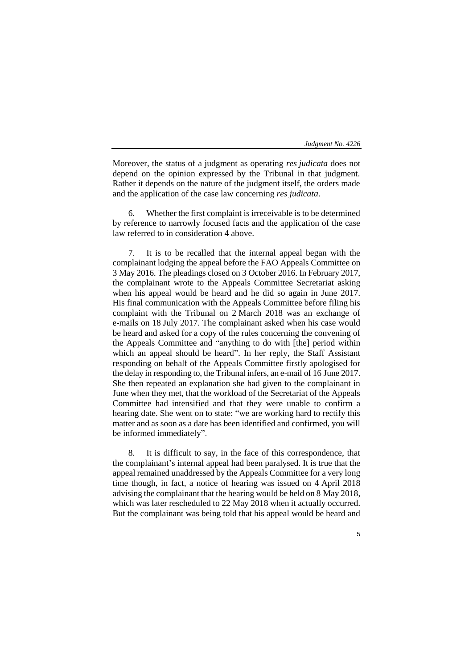Moreover, the status of a judgment as operating *res judicata* does not depend on the opinion expressed by the Tribunal in that judgment. Rather it depends on the nature of the judgment itself, the orders made and the application of the case law concerning *res judicata*.

6. Whether the first complaint is irreceivable is to be determined by reference to narrowly focused facts and the application of the case law referred to in consideration 4 above.

7. It is to be recalled that the internal appeal began with the complainant lodging the appeal before the FAO Appeals Committee on 3 May 2016. The pleadings closed on 3 October 2016. In February 2017, the complainant wrote to the Appeals Committee Secretariat asking when his appeal would be heard and he did so again in June 2017. His final communication with the Appeals Committee before filing his complaint with the Tribunal on 2 March 2018 was an exchange of e-mails on 18 July 2017. The complainant asked when his case would be heard and asked for a copy of the rules concerning the convening of the Appeals Committee and "anything to do with [the] period within which an appeal should be heard". In her reply, the Staff Assistant responding on behalf of the Appeals Committee firstly apologised for the delay in responding to, the Tribunal infers, an e-mail of 16 June 2017. She then repeated an explanation she had given to the complainant in June when they met, that the workload of the Secretariat of the Appeals Committee had intensified and that they were unable to confirm a hearing date. She went on to state: "we are working hard to rectify this matter and as soon as a date has been identified and confirmed, you will be informed immediately".

8. It is difficult to say, in the face of this correspondence, that the complainant's internal appeal had been paralysed. It is true that the appeal remained unaddressed by the Appeals Committee for a very long time though, in fact, a notice of hearing was issued on 4 April 2018 advising the complainant that the hearing would be held on 8 May 2018, which was later rescheduled to 22 May 2018 when it actually occurred. But the complainant was being told that his appeal would be heard and